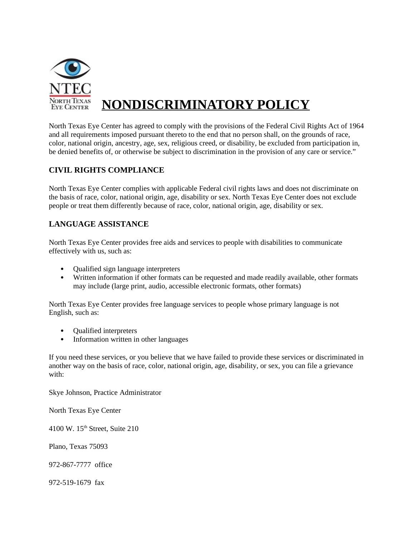

# **NONDISCRIMINATORY POLICY**

North Texas Eye Center has agreed to comply with the provisions of the Federal Civil Rights Act of 1964 and all requirements imposed pursuant thereto to the end that no person shall, on the grounds of race, color, national origin, ancestry, age, sex, religious creed, or disability, be excluded from participation in, be denied benefits of, or otherwise be subject to discrimination in the provision of any care or service."

## **CIVIL RIGHTS COMPLIANCE**

North Texas Eye Center complies with applicable Federal civil rights laws and does not discriminate on the basis of race, color, national origin, age, disability or sex. North Texas Eye Center does not exclude people or treat them differently because of race, color, national origin, age, disability or sex.

#### **LANGUAGE ASSISTANCE**

North Texas Eye Center provides free aids and services to people with disabilities to communicate effectively with us, such as:

- Qualified sign language interpreters
- Written information if other formats can be requested and made readily available, other formats may include (large print, audio, accessible electronic formats, other formats)

North Texas Eye Center provides free language services to people whose primary language is not English, such as:

- Qualified interpreters
- Information written in other languages

If you need these services, or you believe that we have failed to provide these services or discriminated in another way on the basis of race, color, national origin, age, disability, or sex, you can file a grievance with:

Skye Johnson, Practice Administrator

North Texas Eye Center

4100 W. 15<sup>th</sup> Street, Suite 210

Plano, Texas 75093

972-867-7777 office

972-519-1679 fax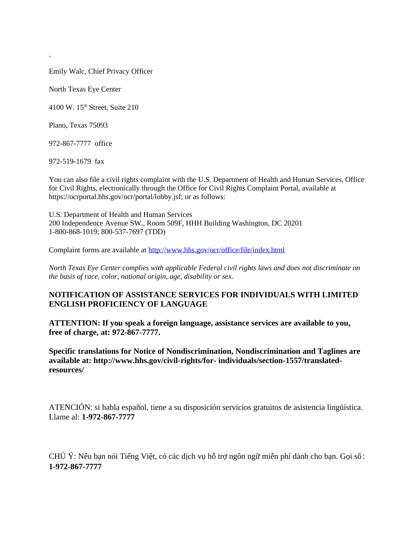Emily Walc, Chief Privacy Officer

North Texas Eye Center

4100 W. 15<sup>th</sup> Street, Suite 210

Plano, Texas 75093

972-867-7777 office

972-519-1679 fax

You can also file a civil rights complaint with the U.S. Department of Health and Human Services, Office for Civil Rights, electronically through the Office for Civil Rights Complaint Portal, available at https://ocrportal.hhs.gov/ocr/portal/lobby.jsf; or as follows:

U.S. Department of Health and Human Services 200 Independence Avenue SW., Room 509F, HHH Building Washington, DC 20201 1-800-868-1019; 800-537-7697 (TDD)

Complaint forms are available at<http://www.hhs.gov/ocr/office/file/index.html>

*North Texas Eye Center complies with applicable Federal civil rights laws and does not discriminate on the basis of race, color, national origin, age, disability or sex.* 

#### **NOTIFICATION OF ASSISTANCE SERVICES FOR INDIVIDUALS WITH LIMITED ENGLISH PROFICIENCY OF LANGUAGE**

**ATTENTION: If you speak a foreign language, assistance services are available to you, free of charge, at: 972-867-7777.** 

**Specific translations for Notice of Nondiscrimination, Nondiscrimination and Taglines are available at: http://www.hhs.gov/civil-rights/for- individuals/section-1557/translatedresources/** 

ATENCIÓN: si habla español, tiene a su disposición servicios gratuitos de asistencia lingüística. Llame al: **1-972-867-7777**

CHÚ Ý: Nếu bạn nói Tiếng Việt, có các dịch vụ hỗ trợ ngôn ngữ miễn phí dành cho bạn. Gọi số: **1-972-867-7777**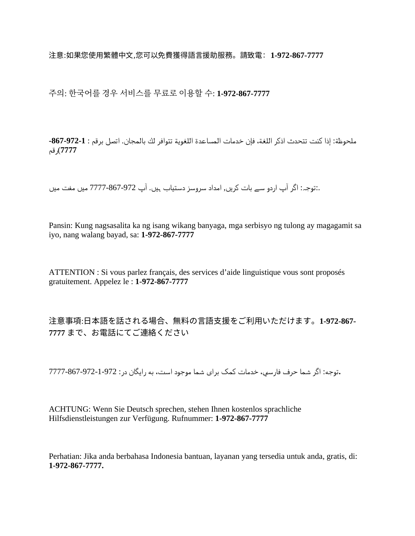注意:如果您使用繁體中文,您可以免費獲得語言援助服務。請致電:**1-972-867-7777**

주의: 한국어를 경우 서비스를 무료로 이용할 수: **1-972-867-7777**

ملحوظة: إذا كنت تتحدث اذكر اللغة، فإن خدمات المساعدة اللغوية تتوافر لك بالمجان. اتصل برقم : 1-972-867-**7777**)رق : م

.:توجہ: اگر آپ اردو سے بات کریں, امداد سروسز دستیاب ہیں. آپ 972-867-7777 میں مفت میں

Pansin: Kung nagsasalita ka ng isang wikang banyaga, mga serbisyo ng tulong ay magagamit sa iyo, nang walang bayad, sa: **1-972-867-7777**

ATTENTION : Si vous parlez français, des services d'aide linguistique vous sont proposés gratuitement. Appelez le : **1-972-867-7777**

注意事項:日本語を話される場合、無料の言語支援をご利用いただけます。話される場合、無料の言語支援をご利用いただけます。される場合、無料の言語支援をご利用いただけます。場合、無料の言語支援をご利用いただけます。の言語支援をご利用いただけます。言語支援を話される場合、無料の言語支援をご利用いただけます。ご利用いただけます。利用いただけます。**1-972-867- 7777** まで、お電話にてご連絡ください電話される場合、無料の言語支援をご利用いただけます。にてご利用いただけます。連絡くださいください

.توجه: اگر شما حرف فارسي، خدمات كمك براي شما موجود است، به رايگان در: 972-1-972-867-7777

ACHTUNG: Wenn Sie Deutsch sprechen, stehen Ihnen kostenlos sprachliche Hilfsdienstleistungen zur Verfügung. Rufnummer: **1-972-867-7777**

Perhatian: Jika anda berbahasa Indonesia bantuan, layanan yang tersedia untuk anda, gratis, di: **1-972-867-7777.**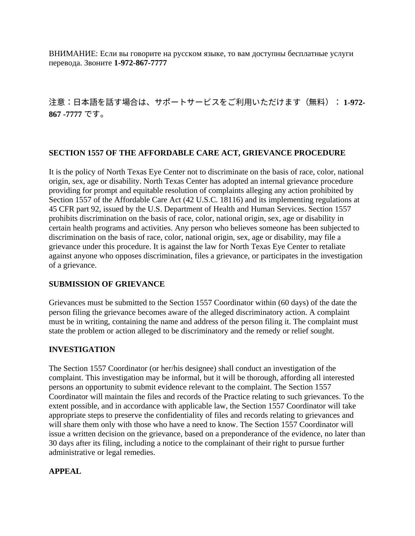ВНИМАНИЕ: Если вы говорите на русском языке, то вам доступны бесплатные услуги перевода. Звоните **1-972-867-7777**

注意:日本語を話される場合、無料の言語支援をご利用いただけます。話される場合、無料の言語支援をご利用いただけます。す場合は、サポートサービスをご利用いただけます(無料):を話される場合、無料の言語支援をご利用いただけます。ご利用いただけます。利用いただけます(無料):無料の言語支援をご利用いただけます。): **1-972- 867 -7777** です。

## **SECTION 1557 OF THE AFFORDABLE CARE ACT, GRIEVANCE PROCEDURE**

It is the policy of North Texas Eye Center not to discriminate on the basis of race, color, national origin, sex, age or disability. North Texas Center has adopted an internal grievance procedure providing for prompt and equitable resolution of complaints alleging any action prohibited by Section 1557 of the Affordable Care Act (42 U.S.C. 18116) and its implementing regulations at 45 CFR part 92, issued by the U.S. Department of Health and Human Services. Section 1557 prohibits discrimination on the basis of race, color, national origin, sex, age or disability in certain health programs and activities. Any person who believes someone has been subjected to discrimination on the basis of race, color, national origin, sex, age or disability, may file a grievance under this procedure. It is against the law for North Texas Eye Center to retaliate against anyone who opposes discrimination, files a grievance, or participates in the investigation of a grievance.

#### **SUBMISSION OF GRIEVANCE**

Grievances must be submitted to the Section 1557 Coordinator within (60 days) of the date the person filing the grievance becomes aware of the alleged discriminatory action. A complaint must be in writing, containing the name and address of the person filing it. The complaint must state the problem or action alleged to be discriminatory and the remedy or relief sought.

#### **INVESTIGATION**

The Section 1557 Coordinator (or her/his designee) shall conduct an investigation of the complaint. This investigation may be informal, but it will be thorough, affording all interested persons an opportunity to submit evidence relevant to the complaint. The Section 1557 Coordinator will maintain the files and records of the Practice relating to such grievances. To the extent possible, and in accordance with applicable law, the Section 1557 Coordinator will take appropriate steps to preserve the confidentiality of files and records relating to grievances and will share them only with those who have a need to know. The Section 1557 Coordinator will issue a written decision on the grievance, based on a preponderance of the evidence, no later than 30 days after its filing, including a notice to the complainant of their right to pursue further administrative or legal remedies.

## **APPEAL**